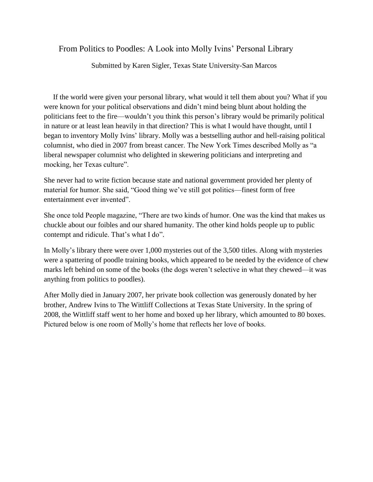## From Politics to Poodles: A Look into Molly Ivins' Personal Library

Submitted by Karen Sigler, Texas State University-San Marcos

 If the world were given your personal library, what would it tell them about you? What if you were known for your political observations and didn't mind being blunt about holding the politicians feet to the fire—wouldn't you think this person's library would be primarily political in nature or at least lean heavily in that direction? This is what I would have thought, until I began to inventory Molly Ivins' library. Molly was a bestselling author and hell-raising political columnist, who died in 2007 from breast cancer. The New York Times described Molly as "a liberal newspaper columnist who delighted in skewering politicians and interpreting and mocking, her Texas culture".

She never had to write fiction because state and national government provided her plenty of material for humor. She said, "Good thing we've still got politics—finest form of free entertainment ever invented".

She once told People magazine, "There are two kinds of humor. One was the kind that makes us chuckle about our foibles and our shared humanity. The other kind holds people up to public contempt and ridicule. That's what I do".

In Molly's library there were over 1,000 mysteries out of the 3,500 titles. Along with mysteries were a spattering of poodle training books, which appeared to be needed by the evidence of chew marks left behind on some of the books (the dogs weren't selective in what they chewed—it was anything from politics to poodles).

After Molly died in January 2007, her private book collection was generously donated by her brother, Andrew Ivins to The Wittliff Collections at Texas State University. In the spring of 2008, the Wittliff staff went to her home and boxed up her library, which amounted to 80 boxes. Pictured below is one room of Molly's home that reflects her love of books.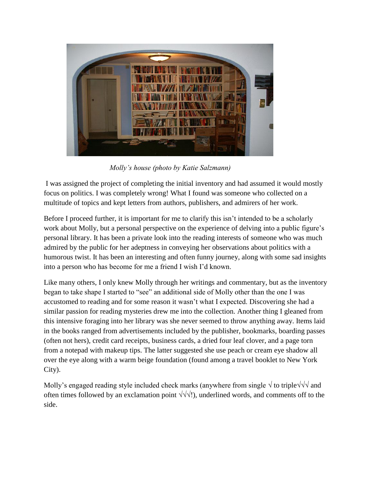

*Molly's house (photo by Katie Salzmann)*

I was assigned the project of completing the initial inventory and had assumed it would mostly focus on politics. I was completely wrong! What I found was someone who collected on a multitude of topics and kept letters from authors, publishers, and admirers of her work.

Before I proceed further, it is important for me to clarify this isn't intended to be a scholarly work about Molly, but a personal perspective on the experience of delving into a public figure's personal library. It has been a private look into the reading interests of someone who was much admired by the public for her adeptness in conveying her observations about politics with a humorous twist. It has been an interesting and often funny journey, along with some sad insights into a person who has become for me a friend I wish I'd known.

Like many others, I only knew Molly through her writings and commentary, but as the inventory began to take shape I started to "see" an additional side of Molly other than the one I was accustomed to reading and for some reason it wasn't what I expected. Discovering she had a similar passion for reading mysteries drew me into the collection. Another thing I gleaned from this intensive foraging into her library was she never seemed to throw anything away. Items laid in the books ranged from advertisements included by the publisher, bookmarks, boarding passes (often not hers), credit card receipts, business cards, a dried four leaf clover, and a page torn from a notepad with makeup tips. The latter suggested she use peach or cream eye shadow all over the eye along with a warm beige foundation (found among a travel booklet to New York City).

Molly's engaged reading style included check marks (anywhere from single  $\sqrt{}$  to triple $\sqrt{}$  and often times followed by an exclamation point  $\sqrt{\sqrt{1}}$ . underlined words, and comments off to the side.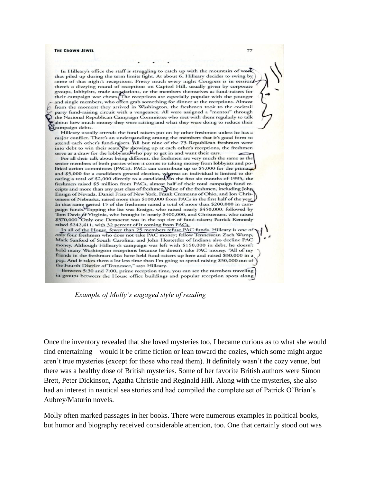## THE CROWN JEWEL

In Hilleary's office the staff is struggling to catch up with the mountain of work that piled up during the term limits fight. At about 6, Hilleary decides to swing by some of that night's receptions. Pretty much every night Congress is in session there's a dizzying round of receptions on Capitol Hill, usually given by corporate groups, lobbyists, trade associations, or the members themselves as fund-raisers for their campaign war chests. The receptions are especially popular with the younger and single members, who often grab something for dinner from the moment they arrived in Washington, the freshmen took to the cocktail party fund-raising circuit with a vengeance. All were assigned a "mentor" through the National Republican Campaign Committee who met with them regularly to talk about how much money they were raising and what they were doing to reduce their campaign debts.

77

Hilleary usually attends the fund-raisers put on by other freshmen unless he has a major conflict. There's an understanding among the members that it's good form to attend each other's fund-raisers. All but nine of the 73 Republican freshmen went into debt to win their seats. By showing up at each other's receptions, the freshmen serve as a draw for the lobbyists, who pay to get in and want their ears.

For all their talk about being different, the freshmen are very much the same as the senior members of both parties when it comes to taking money from lobbyists and po litical action committees (PACs). PACs can contribute up to \$5,000 for the primary and \$5,000 for a candidate's general election, whereas an individual is limited to donating a total of \$2,000 directly to a candidate. In the first six months of 1995, the freshmen raised \$5 million from PACs, almost half of their total campaign fund receipts and more than any past class of freshmen. Nine of the freshmen, including John Ensign of Nevada, Daniel Frisa of New York, Frank Cremeans of Ohio, and Jon Chris tensen of Nebraska, raised more than \$100,000 from PACs in the first half of the year, In that same period 15 of the freshmen raised a total of more than \$200,000 in campaign funds. Topping the list was Ensign, who raised nearly \$450,000, followed by Tom Davis of Virginia, who brought in nearly \$400,000, and Christensen, who raised \$370,000. Only one Democrat was in the top tier of fund-raisers; Patrick Kennedy raised \$242,411, with 32 percent of it coming from PACs.

In all of the House, fewer than 25 members refuse PAC funds. Hilleary is one of only four freshmen who does not take PAC money; fellow Tennessean Zach Wamp, Mark Sanford of South Carolina, and John Hostettler of Indiana also decline PAC money. Although Hilleary's campaign was left with \$150,000 in debt, he doesn't hold many Washington receptions because he doesn't take PAC money. "All of my friends in the freshman class have held fund-raisers up here and raised \$30,000 in a pop. And it takes them a lot less time than I'm going to spend raising \$30,000 out of the Fourth District of Tennessee," says Hilleary.

Between 5:30 and 7:00, prime reception time, you can see the members traveling in groups between the House office buildings and popular reception spots along

## *Example of Molly's engaged style of reading*

Once the inventory revealed that she loved mysteries too, I became curious as to what she would find entertaining—would it be crime fiction or lean toward the cozies, which some might argue aren't true mysteries (except for those who read them). It definitely wasn't the cozy venue, but there was a healthy dose of British mysteries. Some of her favorite British authors were Simon Brett, Peter Dickinson, Agatha Christie and Reginald Hill. Along with the mysteries, she also had an interest in nautical sea stories and had compiled the complete set of Patrick O'Brian's Aubrey/Maturin novels.

Molly often marked passages in her books. There were numerous examples in political books, but humor and biography received considerable attention, too. One that certainly stood out was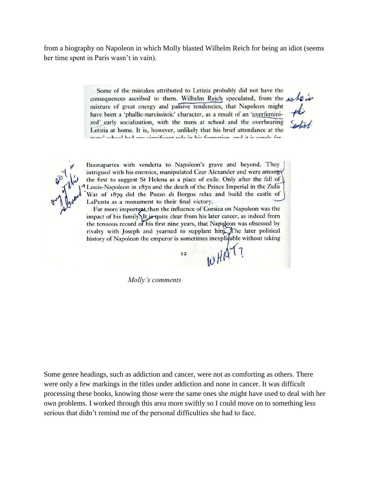from a biography on Napoleon in which Molly blasted Wilhelm Reich for being an idiot (seems her time spent in Paris wasn't in vain).

> Some of the mistakes attributed to Letizia probably did not have the consequences ascribed to them. Wilhelm Reich speculated, from the whole mixture of great energy and passive tendencies, that Napoleon might have been a 'phallic-narcissistic' character, as a result of an 'overfeminized' early socialization, with the nuns at school and the overbearing Letizia at home. It is, however, unlikely that his brief attendance at the nune' cohool had any cientfront role in his formation and it is surely far.

Buonapartes with vendetta to Napoleon's grave and beyond. They intrigued with his enemies, manipulated Czar Alexander and were among the first to suggest St Helena as a place of exile. Only after the fall of Louis-Napoleon in 1870 and the death of the Prince Imperial in the Zulu War of 1879 did the Pozzo di Borgos relax and build the castle of LaPunta as a monument to their final victory.

Far more important than the influence of Corsica on Napoleon was the impact of his family It jo quite clear from his later career, as indeed from the tenuous record of his first nine years, that Napoleon was obsessed by rivalry with Joseph and yearned to supplant him. The later political history of Napoleon the emperor is sometimes inexplicable without taking

 $12$ 

wHAT?

 *Molly's comments*

Some genre headings, such as addiction and cancer, were not as comforting as others. There were only a few markings in the titles under addiction and none in cancer. It was difficult processing these books, knowing those were the same ones she might have used to deal with her own problems. I worked through this area more swiftly so I could move on to something less serious that didn't remind me of the personal difficulties she had to face.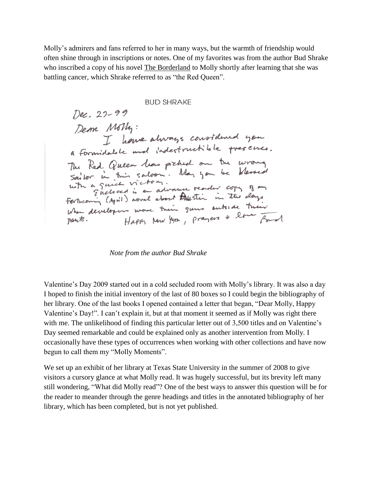Molly's admirers and fans referred to her in many ways, but the warmth of friendship would often shine through in inscriptions or notes. One of my favorites was from the author Bud Shrake who inscribed a copy of his novel The Borderland to Molly shortly after learning that she was battling cancer, which Shrake referred to as "the Red Queen".

**BUD SHRAKE** 

Dec. 22-99 Dem Moth:<br>I home always constitued you a formidable and indestructible presence. a formadose and provided on the wrong<br>The Red Queen leas prehed on the wrong<br>Sailor in this saloon. May you be blessed<br>with a quick victory. May you be blessed<br>forthcomin (April) novel about touristic in the clays When developers wore their guns outside their Happy New York, prayers + love Ford pants.

*Note from the author Bud Shrake*

Valentine's Day 2009 started out in a cold secluded room with Molly's library. It was also a day I hoped to finish the initial inventory of the last of 80 boxes so I could begin the bibliography of her library. One of the last books I opened contained a letter that began, "Dear Molly, Happy Valentine's Day!". I can't explain it, but at that moment it seemed as if Molly was right there with me. The unlikelihood of finding this particular letter out of 3,500 titles and on Valentine's Day seemed remarkable and could be explained only as another intervention from Molly. I occasionally have these types of occurrences when working with other collections and have now begun to call them my "Molly Moments".

We set up an exhibit of her library at Texas State University in the summer of 2008 to give visitors a cursory glance at what Molly read. It was hugely successful, but its brevity left many still wondering, "What did Molly read"? One of the best ways to answer this question will be for the reader to meander through the genre headings and titles in the annotated bibliography of her library, which has been completed, but is not yet published.